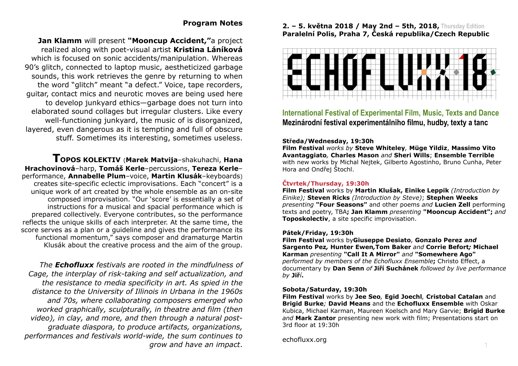# **Program Notes**

**Jan Klamm** will present **"Mooncup Accident,"**a project realized along with poet-visual artist **Kristina Láníková** which is focused on sonic accidents/manipulation. Whereas 90's glitch, connected to laptop music, aestheticized garbage sounds, this work retrieves the genre by returning to when the word "glitch" meant "a defect." Voice, tape recorders, guitar, contact mics and neurotic moves are being used here to develop junkyard ethics—garbage does not turn into elaborated sound collages but irregular clusters. Like every well-functioning junkyard, the music of is disorganized, layered, even dangerous as it is tempting and full of obscure stuff. Sometimes its interesting, sometimes useless.

**TOPOS KOLEKTIV** (**Marek Matvija**–shakuhachi, **Hana Hrachovinová**–harp, **Tomáš Kerle**–percussions, **Tereza Kerle**– performance, **Annabelle Plum**–voice, **Martin Klusák**–keyboards) creates site-specific eclectic improvisations. Each "concert" is a unique work of art created by the whole ensemble as an on-site composed improvisation. "Our 'score' is essentially a set of instructions for a musical and spacial performance which is prepared collectively. Everyone contributes, so the performance reflects the unique skills of each interpreter. At the same time, the score serves as a plan or a guideline and gives the performance its functional momentum," says composer and dramaturge Martin Klusák about the creative process and the aim of the group.

*The Echofluxx festivals are rooted in the mindfulness of Cage, the interplay of risk-taking and self actualization, and the resistance to media specificity in art. As spied in the distance to the University of Illinois in Urbana in the 1960s and 70s, where collaborating composers emerged who worked graphically, sculpturally, in theatre and film (then video), in clay, and more, and then through a natural postgraduate diaspora, to produce artifacts, organizations, performances and festivals world-wide, the sum continues to grow and have an impact*.

### **2. – 5. května 2018 / May 2nd – 5th, 2018, Thursday Edition Paralelní Polis, Praha 7, Česká republika/Czech Republic**



**International Festival of Experimental Film, Music, Texts and Dance Mezinárodní festival experimentálniho filmu, hudby, texty a tanc** 

#### **Středa/Wednesday, 19:30h**

**Film Festival** *works by* **Steve Whiteley***,* **Müge Yildiz**, **Massimo Vito Avantaggiato***,* **Charles Mason** *and* **Sheri Wills**; **Ensemble Terrible** with new works by Michal Nejtek, Gilberto Agostinho, Bruno Cunha, Peter Hora and Ondřej Štochl.

### **Čtvrtek/Thursday, 19:30h**

**Film Festival** works by **Martin Klušak, Einike Leppik** *(Introduction by Einike);* **Steven Ricks** *(Introduction by Steve)*; **Stephen Weeks** *presenting* **"Four Seasons"** and other poems *and* **Lucien Zell** performing texts and poetry, TBA**; Jan Klamm** *presenting* **"Mooncup Accident";** *and*  **Toposkolectiv**, a site specific improvisation.

#### **Pátek/Friday, 19:30h**

**Film Festival** works by**Giuseppe Desiato, Gonzalo Perez** *and*  **Sar[gento Pe](http://echofluxx.org/ECHOFLUXX18/index.html#karman2)z***,* **Hunter Ewen***,***Tom Baker** *and* **Corrie Befort***;* **Micha[el](http://echofluxx.org/ECHOFLUXX18/index.html#karman2)  Karman** *presenting* **"Call It A Mirror"** *and* **"Somewhere Ago"**  *performed by members of the Echofluxx Ensemble***;** Christo Effect, a documentary by **Dan Senn** *of* **Jiří Suchánek** *followed by live performance by* **Jiř***í***.**

#### **Sobota/Saturday, 19:30h**

**Film Festival** works by **Jee Seo***,* **Egid Joechl***,* **Cristobal Catalan** and **Brigid Burke***;* **David Means** and the **Echofluxx Ensemble** with Oskar Kubica, Michael Karman, Maureen Koelsch and Mary Garvie; **Brigid Burke** *and* **Mark Zantor** presenting new work with film; Presentations start on 3rd floor at 19:30h

echofluxx.org <sup>1</sup>